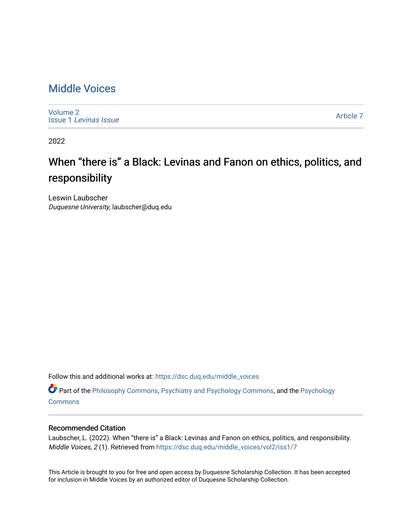### [Middle Voices](https://dsc.duq.edu/middle_voices)

[Volume 2](https://dsc.duq.edu/middle_voices/vol2) Issue 1 [Levinas Issue](https://dsc.duq.edu/middle_voices/vol2/iss1)

[Article 7](https://dsc.duq.edu/middle_voices/vol2/iss1/7) 

2022

## When "there is" a Black: Levinas and Fanon on ethics, politics, and responsibility

Leswin Laubscher Duquesne University, laubscher@duq.edu

Follow this and additional works at: [https://dsc.duq.edu/middle\\_voices](https://dsc.duq.edu/middle_voices?utm_source=dsc.duq.edu%2Fmiddle_voices%2Fvol2%2Fiss1%2F7&utm_medium=PDF&utm_campaign=PDFCoverPages)

Part of the [Philosophy Commons,](http://network.bepress.com/hgg/discipline/525?utm_source=dsc.duq.edu%2Fmiddle_voices%2Fvol2%2Fiss1%2F7&utm_medium=PDF&utm_campaign=PDFCoverPages) [Psychiatry and Psychology Commons,](http://network.bepress.com/hgg/discipline/908?utm_source=dsc.duq.edu%2Fmiddle_voices%2Fvol2%2Fiss1%2F7&utm_medium=PDF&utm_campaign=PDFCoverPages) and the [Psychology](http://network.bepress.com/hgg/discipline/404?utm_source=dsc.duq.edu%2Fmiddle_voices%2Fvol2%2Fiss1%2F7&utm_medium=PDF&utm_campaign=PDFCoverPages)  **[Commons](http://network.bepress.com/hgg/discipline/404?utm_source=dsc.duq.edu%2Fmiddle_voices%2Fvol2%2Fiss1%2F7&utm_medium=PDF&utm_campaign=PDFCoverPages)** 

#### Recommended Citation

Laubscher, L. (2022). When "there is" a Black: Levinas and Fanon on ethics, politics, and responsibility. Middle Voices, 2 (1). Retrieved from [https://dsc.duq.edu/middle\\_voices/vol2/iss1/7](https://dsc.duq.edu/middle_voices/vol2/iss1/7?utm_source=dsc.duq.edu%2Fmiddle_voices%2Fvol2%2Fiss1%2F7&utm_medium=PDF&utm_campaign=PDFCoverPages) 

This Article is brought to you for free and open access by Duquesne Scholarship Collection. It has been accepted for inclusion in Middle Voices by an authorized editor of Duquesne Scholarship Collection.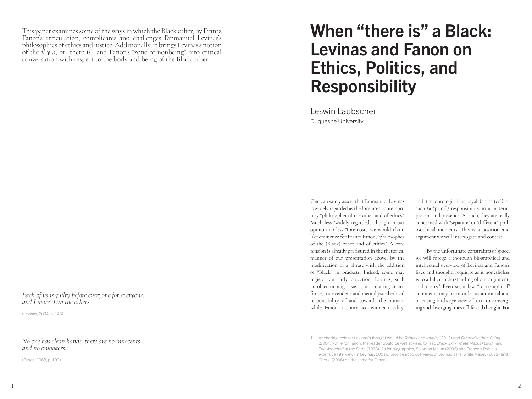This paper examines some of the ways in which the Black other, by Frantz Fanon's articulation, complicates and challenges Emmanuel Levinas's philosophies of ethics and justice. Additionally, it brings Levinas's notion of the *il y a*, or "there is," and Fanon's "zone of nonbeing" into critical conversation with respect to the body and being of the Black other.

*Each of us is guilty before everyone for everyone, and I more than the others.*

(Levinas, 2004, p. 146)

#### *No one has clean hands; there are no innocents and no onlookers.*

(Fanon, 1968, p. 199)

# When "there is" a Black: Levinas and Fanon on Ethics, Politics, and Responsibility

Leswin Laubscher Duquesne University

One can safely assert that Emmanuel Levinas is widely regarded as the foremost contemporary "philosopher of the other and of ethics." Much less "widely regarded," though in our opinion no less "foremost," we would claim like eminence for Frantz Fanon, "philosopher of the (Black) other and of ethics." A core tension is already prefigured in the rhetorical manner of our presentation above, by the modification of a phrase with the addition of "Black" in brackets. Indeed, some may register an early objection: Levinas, such an objector might say, is articulating an infinite, transcendent and metaphysical ethical responsibility of and towards the human, while Fanon is concerned with a totality,

and the ontological betrayal (an "after") of such (a "prior") responsibility in a material present and presence. As such, they are really concerned with "separate" or "different" philosophical moments. This is a position and argument we will interrogate and contest.

By the unfortunate constraints of space, we will forego a thorough biographical and intellectual overview of Levinas and Fanon's lives and thought, requisite as it nonetheless is to a fuller understanding of our argument, and theirs.<sup>1</sup> Even so, a few "topographical" comments may be in order as an initial and orienting bird's eye view of sorts to converging and diverging lines of life and thought. For

<sup>1</sup> Anchoring texts for Levinas's thought would be *Totality and Infinity* (2013) and *Otherwise than Being*  (2004), while for Fanon, the reader would be well advised to read *Black Skin, White Masks* (1967) and *The Wretched of the Earth* (1968). As for biographies, Solomon Malka (2006) and Francois Poirie's extensive interview (In Levinas, 2001b) provide good overviews of Levinas's life, while Macey (2012) and Cherki (2006) do the same for Fanon.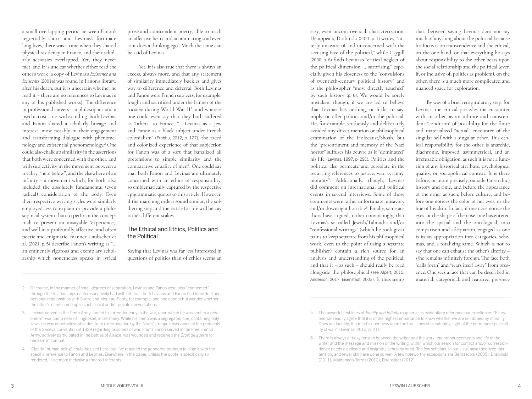a small overlapping period between Fanon's regrettably short, and Levinas's fortunate long lives, there was a time when they shared physical residency in France, and their scholarly activities overlapped. Yet, they never met, and it is unclear whether either read the other's work [a copy of Levinas's *Existence and Existents* (2001a) was found in Fanon's library, after his death, but it is uncertain whether he read it – there are no references to Levinas in any of his published works]. The difference in professional careers – a philosopher and a psychiatrist – notwithstanding, both Levinas and Fanon shared a scholarly lineage and interest, most notably in their engagement and transforming dialogue with phenomenology and existential phenomenology.2 One could also chalk up similarity in the assertions that both were concerned with the other, and with subjectivity in the movement between a totality, "here below", and the elsewhere of an infinity – a movement which, for both, also included the absolutely fundamental (even radical) consideration of the body. Even their respective writing styles were similarly employed less to explain or provide a philosophical system than to perform the conceptual; to present an unsayable "experience," and well in a profoundly affective, and often poetic and enigmatic, manner. Laubscher et al. (2021, p. 5) describe Fanon's writing as "… an eminently rigorous and exemplary scholarship which nonetheless speaks in lyrical

prose and transcendent poetry, able to reach an affective heart and an animating soul even as it does a thinking ego". Much the same can be said of Levinas.

Yet, it is also true that there is always an excess, always more, and that any statement of similarity immediately buckles and gives way to difference and deferral. Both Levinas and Fanon were French subjects, for example, fought and sacrificed under the banner of the *tricolore* during World War II3, and whereas one could even say that they both suffered as "others" to France, "… Levinas as a Jew and Fanon as a black subject under French colonialism" (Prabhu, 2012, p. 127), the raced and colonized experience of that subjection for Fanon was of a sort that banalized all pretensions to simple similarity and the comparative equality of men<sup>4</sup>. One could say that both Fanon and Levinas are ultimately concerned with an ethics of responsibility, so emblematically captured by the respective epigrammatic quotes to this article. However, if the marching orders sound similar, the soldiering step and the battle for life will betray rather different stakes.

#### The Ethical and Ethics, Politics and the Political

Saying that Levinas was far less interested in questions of politics than of ethics seems an

- 2 Of course, in the manner of small degrees of separation, Levinas and Fanon were also "connected" through the relationships each respectively had with others – both Levinas and Fanon had individual and personal relationships with Sartre and Merleau-Ponty, for example, and one cannot but wonder whether the other's name came up in such social and/or private conversations.
- 3 Levinas served in the Tenth Army, forced to surrender early in the war, upon which he was sent to a prisoner-of-war camp near Fallingbostel, in Germany. While his camp was a segregated one, containing only Jews, he was nonetheless shielded from extermination by the Nazis' strange observance of the protocols of the Geneva convention of 1929 regarding prisoners of war. Frantz Fanon served in the Free French Army, actively participated in the battles of Alsace, was wounded and received the *Croix de guerre* for heroism in combat.
- 4 Clearly "human being" could be used here, but I've retained the gendered pronoun to align it with the specific reference to Fanon and Levinas. Elsewhere in the paper, unless the quote is specifically so rendered, I use more inclusive gendered referents.

easy, even uncontroversial, characterization. He appears, Drabinski (2011, p. 1) writes, "utterly unaware of and unconcerned with the accusing face of the political," while Caygill (2000, p. 6) finds Levinas's "critical neglect of the political dimension … surprising," especially given his closeness to the "convulsions of twentieth-century political history" and as the philosopher "most directly touched" by such history (p. 6). We would be sorely mistaken, though, if we are led to believe that Levinas has nothing, or little, to say, imply, or offer politics and/or the political. He, for example, studiously and deliberately avoided any direct mention or philosophical examination of the Holocaust/Shoah, but the "presentiment and memory of the Nazi horror" suffuses his oeuvre as it "dominated" his life (Levinas, 1997, p. 291). Politics and the political also permeate and percolate in the recurring references to justice, war, tyranny, morality5. Additionally, though, Levinas did comment on international and political events in several interviews. Some of those comments were rather unfortunate, unsavory and/or downright horrible6. Finally, some authors have argued, rather convincingly, that Levinas's so called Jewish/Talmudic and/or "confessional writings" (which he took great pains to keep separate from his philosophical work, even to the point of using a separate publisher) contain a rich source for an analysis and understanding of the political, and that it – as such – should really be read alongside the philosophical (see Alpert, 2015; Anderson, 2017; Eisenstadt, 2003). It thus seems

that, between saying Levinas does not say much of anything about the political because his focus is on transcendence and the ethical, on the one hand, or that everything he says about responsibility to the other bears upon the social relationship and the political (even if, or inclusive of, politics as problem), on the other, there is a much more complicated and nuanced space for exploration.

By way of a brief recapitulatory step, for Levinas, the ethical precedes the encounter with an other, as an infinite and transcendent "condition" of possibility for the finite and materialized "actual" encounter of the singular self with a singular other. This ethical responsibility for the other is anarchic, diachronic, imposed, asymmetrical, and an irrefusable obligation; as such it is not a function of any historical attribute, psychological quality, or sociopolitical context. It is there before, or more precisely, outside (an-archic) history and time, and before the appearance of the other as such; before culture, and before one notices the color of her eyes, or the hue of his skin. In fact, if one does notice the eyes, or the shape of the nose, one has entered into the spatial and the ontological, into comparison and adequation, engaged as one is in an appropriation into categories, schemas, and a totalizing same. Which is not to say that one can exhaust the other's alterity – s/he remains infinitely foreign. The face both "calls forth" and "tears itself away" from presence: One sees a face that can be described in material, categorical, and featured presence

<sup>5</sup> The powerful first lines of *Totality and Infinity* may serve as evidentiary reference par excellence: "Everyone will readily agree that it is of the highest importance to know whether we are not duped by morality. Does not lucidity, the mind's openness upon the true, consist in catching sight of the permanent possibility of war?" (Levinas, 2013, p. 21).

<sup>6</sup> There is always a tricky tension between the writer and the work, the pronouncements and life of the writer and the message and mission of the writing, within which our search for conflict and/or correspondence needs a delicate and insightful scholarly hand. Too few scholars, in our view, have theorized this tension, and fewer still have done so well. A few noteworthy exceptions are Bernasconi (2005), Drabinski (2011), Maldonado-Torres (2012), Eisenstadt (2012).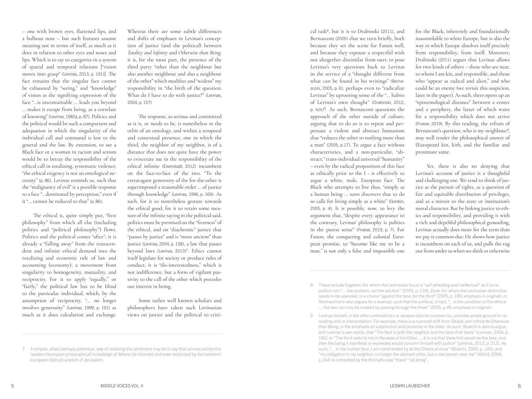– one with brown eyes, flattened lips, and a bulbous nose – but such features assume meaning not in terms of itself, as much as it does in relation to other eyes and noses and lips. Which is to say to categories in a system of spatial and temporal relations ["vision moves into grasp" (Levinas, 2013, p. 191)]. The fact remains that the singular face cannot be exhausted by "seeing," and "knowledge" of vision as the signifying expression of the face "…is uncontainable … leads you beyond … makes it escape from being, as a correlate of knowing" (Levinas, 1982a, p. 87). Politics and the political would be such a comparison and adequation in which the singularity of the individual call and command is lost to the general and the law. By extension, to see a Black face or a woman in racism and sexism would be to betray the responsibility of the ethical call in totalizing, systematic violence; "the ethical exigency is not an ontological necessity" (p. 86), Levinas reminds us, such that the "malignancy of evil" is a possible response to a face "…dominated by perception," even if it "… cannot be reduced to that" (p. 86).

The ethical is, quite simply put, "first philosophy" from which all else (including politics and "political philosophy") flows. Politics and the political comes "after"; it is already a "falling away" from the transcendent and infinite ethical demand into the totalizing and economic rule of law and accounting (economy), a movement from singularity to homogeneity, mutuality, and reciprocity. For it to apply "equally," or "fairly," the political law has to be blind to the particular individual, which, by the assumption of reciprocity, "… no longer involves generosity" (Levinas, 1999, p. 101) as much as it does calculation and exchange.

Whereas there are some subtle differences and shifts of emphases in Levinas's conception of justice (and the political) between *Totality and Infinity* and *Otherwise than Being*, it is, for the most part, the presence of the third party "other than the neighbour but also another neighbour and also a neighbour of the other" which modifies and "widens" my responsibility in "the birth of the question: What do I have to do with justice?" (Levinas, 2004, p. 157)

The response, as serious and committed as it is, or needs to be, is nonetheless in the orbit of an ontology, and within a temporal and contextual presence; one in which the third, the neighbor of my neighbor, is of a distance that does not quite have the power to eviscerate me in the responsibility of the ethical infinite (Eisenstadt, 2012) incumbent on the face-to-face of the two. "To the extravagant generosity of the for-the-other is superimposed a reasonable order … of justice through knowledge" (Levinas, 1996, p. 169). As such, for it to nonetheless gesture towards the ethical good, for it to retain some measure of the infinite saying in the political said, politics must be premised on the "firstness" of the ethical, and on "diachronic" justice that "passes by justice" and is "more ancient" than justice (Levinas, 2004, p. 158), a law that passes beyond laws (Levinas, 2013)<sup>7</sup>. Ethics cannot itself legislate for society or produce rules of conduct; it is "dis-interestedness," which is not indifference, but a form of vigilant passivity to the call of the other which precedes our interest in being.

Some rather well known scholars and philosophers have taken such Levinasian views on justice and the political to criti-

cal task<sup>8</sup> , but it is to Drabinski (2011), and Bernasconi (2005) that we turn briefly, both because they set the scene for Fanon well, and because they espouse a respectful wish not altogether dissimilar from ours: to pose Levinas's very questions back to Levinas in the service of a "thought different from what can be found in his writings" (Bernasconi, 2005, p. 6), perhaps even to "radicalize Levinas" by uprooting some of the "… habits of Levinas's own thought" (Drabinski, 2012, p. XIX) 9 . As such, Bernasconi questions the approach of the other outside of culture, arguing that to do so is to repeat and perpetuate a violent and abstract humanism that "reduces the other to nothing more than a man" (2005, p.17). To argue a face without characteristics, and a non-particular, "abstract," trans-individual universal "humanity" – even by the radical proposition of this face as ethically prior to the I - is effectively to argue a white, male, European face. The Black who attempts to live thus, "simply as a human being … soon discovers that to do so calls for living simply as a white" (Gordon, 2005, p. 4). It is possible, now, to levy the argument that, "despite every appearance to the contrary, Levinas' philosophy is politics in the purest sense" (Froese, 2019, p. 7). For Fanon, the conquering and colonial European promise, to "become like me to be a man," is not only a false and impossible one

for the Black, inherently and foundationally inassimilable to white Europe, but is also the way in which Europe absolves itself precisely from responsibility, from itself. Moreover, Drabinski (2011) argues that Levinas allows for two kinds of others – those who are near, to whom I am kin, and responsible, and those who "appear as radical and alien," and who could be an enemy (we revisit this suspicion, later in the paper). As such, there opens up an "epistemological distance" between a center and a periphery, the latter of which waits for a responsibility which does not arrive (Froese, 2019). By this reading, the refrain of Bernasconi's question, who is my neighbour?, may well render the philosophical answer of (European) kin, kith, and the familiar and proximate same.

Yet, there is also no denying that Levinas's account of justice is a thoughtful and challenging one. We tend to think of justice as the pursuit of rights, as a question of fair and equitable distribution of privileges, and as a mirror to the state or institution's moral character. But by linking justice to ethics and responsibility, and providing it with a rich and depthful philosophical grounding, Levinas actually does more for the term than we pay it common due: He shows how justice is incumbent on each of us, and pulls the rug out from under us when we shirk or otherwise

<sup>7</sup> A simpler, albeit perhaps polemical, way of restating this sentiment may be to say that Levinas wishes the (western/european philosophical) knowledge of Athens be informed and even relativized by the (western/ european biblical) wisdom of Jerusalem.

<sup>8</sup> These include Eagleton (for whom the Levinasian focus is "self defeating and ineffectual" as it turns politics into "… the problem, not the solution" (2009, p. 233), Zizek (for whom the Levinasian distinction needs to be upended, in a choice "*against* the face, for the *third*" (2005, p. 183, emphasis in original), or Reinhard (who also argues for a reversal, such that the political, in fact, "…is the condition of the ethical … the two can only be created by passing through the *three*" (2005, p.49, emphasis in original).

<sup>9</sup> Levinas himself, in the often contradictory or opaque style he is known for, provides ample ground for rereading and re-interpretation. For example, there is a nuanced shift from *Totality and Infinity* to *Otherwise than Being*, in the emphasis on substitution and proximity in the latter. As such, Bloechl is able to argue, with Levinas's own words, that "The face is both the neighbor and the face of all faces" (Levinas, 2004, p. 160), or "The third looks to me in the eyes of the Other … It is not that there first would be the face, and then the being it manifests or expresses would concern himself with justice" (Levinas, 2013, p. 213). As such, "… in the human face, I am commanded by all the Others at once" (Bloechl, 2000, p. 143), and "my obligation to my neighbor, no longer the abstract other, but a real person near me" (Alford, 2004, p.164) is compelled by the third who was "there" "all along".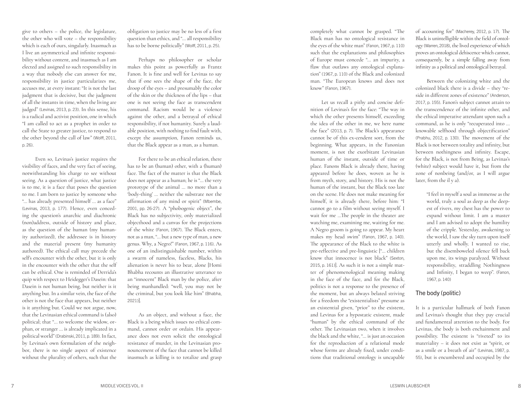give to others – the police, the legislature, the other who will vote – the responsibility which is each of ours, singularly. Inasmuch as I live an asymmetrical and infinite responsi bility without content, and inasmuch as I am elected and assigned to such responsibility in a way that nobody else can answer for me, responsibility in justice particularizes me, accuses me, at every instant: "It is not the last judgment that is decisive, but the judgment of all the instants in time, when the living are judged" (Levinas, 2013, p. 23). In this sense, his is a radical and activist position, one in which "I am called to act as a prophet in order to call the State to greater justice, to respond to the other beyond the call of law" (Wolff, 2011, p. 26).

 Even so, Levinas's justice requires the visibility of faces, and the very fact of seeing, notwithstanding his charge to see without seeing. As a question of justice, what justice is to me, it is a face that poses the question to me. I am born to justice by someone who "… has already presented himself … as a face" (Levinas, 2013, p. 177). Hence, even conced ing the question's anarchic and diachronic (non)address, outside of history and place, as the question of the human (my human ity authorized), the addressee is in history and the material present (my humanity authored). The ethical call may precede the self's encounter with the other, but it is only in the encounter with the other that the self can be ethical. One is reminded of Derrida's quip with respect to Heidegger's Dasein: that Dasein is not human being, but neither is it anything but. In a similar vein, the face of the other is not the face that appears, but neither is it anything but. Could we not argue, now, that the Levinasian ethical command is (also) political; that "… to welcome the widow, or phan, or stranger … is already implicated in a political world" (Drabinski, 2011, p. 189). In fact, by Levinas's own formulation of the neigh bor, there is no single aspect of existence without the plurality of others, such that the

obligation to justice may be no less of a first question than ethics, and "… all responsibility has to be borne politically" (Wolff, 2011, p. 25) .

Perhaps no philosopher or scholar makes this point as powerfully as Frantz Fanon. It is fine and well for Levinas to say that if one sees the shape of the face, the droop of the eyes – and presumably the color of the skin or the thickness of the lips – that one is not seeing the face as transcendent command. Racism would be a violence against the other, and a betrayal of ethical responsibility, if not humanity. Surely a laud able position, with nothing to find fault with, except the assumption, Fanon reminds us, that the Black appear as a man, as a human.

For there to be an ethical relation, there has to be an (human) other, with a (human) face. The fact of the matter is that the Black does not appear as a human; he is "… the very prototype of the animal … no more than a 'body-thing' … neither the substrate nor the affirmation of any mind or spirit" (Mbembe, 2001, pp. 26-27). A "phobogenic object", the Black has no subjectivity, only materialized objecthood and a canvas for the projections of the white (Fanon, 1967). The Black enters, not as a man, "… but a new type of man, a new genus. Why, a Negro!" (Fanon, 1967, p. 116). As one of an indistinguishable number, within a swarm of nameless, faceless, Blacks, his alienation is never his to bear, alone [Homi Bhabha recounts an illustrative utterance to an "innocent" Black man by the police, after being manhandled: "well, you may not be the criminal, but you look like him" (Bhabha, 2021)].

As an object, and without a face, the Black is a being which issues no ethical com mand, cannot order or ordain. His appear ance does not even solicit the ontological resistance of murder, in the Levinasian pro nouncement of the face that cannot be killed inasmuch as killing is to totalize and grasp

completely what cannot be grasped. "The Black man has no ontological resistance in the eyes of the white man" (Fanon, 1967, p. 110) such that the explanations and philosophies of Europe must concede "… an impurity, a flaw that outlaws any ontological explana tion" (1967, p. 110) of the Black and colonized man. "The European knows and does not know" (Fanon, 1967).

Let us recall a pithy and concise defi nition of Levinas's for the face: "The way in which the other presents himself, exceeding the idea of the other in me, we here name the face" (2013, p. 7). The Black's appearance cannot be of this ex-cendent sort, from the beginning. What appears, in the Fanonian moment, is not the exorbitant Levinasian human of the instant, outside of time or place. Fanons Black is already there, having appeared before he does, woven as he is from myth, story, and history. His is not the human of the instant, but the Black too late on the scene. He does not make meaning for himself, it is already there, before him: "I cannot go to a film without seeing myself. I wait for me …The people in the theater are watching me, examining me, waiting for me. A Negro groom is going to appear. My heart makes my head swim" (Fanon, 1967, p. 140). The appearance of the Black to the white is pre-reflective and pre-linguistic ["… children know that innocence is not black" (Sexton, 2015, p. 161)]. As such it is not a simple mat ter of phenomenological meaning making in the face of the face, and for the Black, politics is not a response to the presence of the moment, but an always belated striving for a freedom the "existentialists" presume as an existential given, "prior" to the existent, and Levinas for a hypostatic existent, made "human" by the ethical command of the other. The Levinasian two, when it involves the black and the white, "… is just an occasion for the reproduction of a relational mode whose forms are already fixed, under condi tions that traditional ontology is uncapable

of accounting for" (Macherey, 2012, p. 17). The Black is unintelligible within the field of ontol ogy (Warren, 2018), the lived experience of which proves an ontological dehiscence which cannot, consequently, be a simple falling away from infinity as a political and ontological betrayal.

Between the colonizing white and the colonized black there is a divide – they "re side in different zones of existence" (Anderson, 2017, p. 155). Fanon's subject cannot attain to the transcendence of the infinite other, and the ethical imperative attendant upon such a command, as he is only "recuperated into … knowable selfhood through objectification" (Prabhu, 2012, p. 130). The movement of the Black is not between totality and infinity, but between nothingness and infinity. Escape, for the Black, is not from Being, as Levinas's (white) subject would have it, but from the zone of nonbeing (and/or, as I will argue later, from the il y a).

> "I feel in myself a soul as immense as the world, truly a soul as deep as the deep est of rivers, my chest has the power to expand without limit. I am a master and I am advised to adopt the humility of the cripple. Yesterday, awakening to the world, I saw the sky turn upon itself utterly and wholly. I wanted to rise, but the disemboweled silence fell back upon me, its wings paralyzed. Without responsibility, straddling Nothingness and Infinity, I began to weep". (Fanon, 1967, p. 140)

#### The body (politic)

It is a particular hallmark of both Fanon and Levinas's thought that they pay crucial and fundamental attention to the body. For Levinas, the body is both enchainment and possibility. The existent is "riveted" to its materiality – it does not exist as "spirit, or as a smile or a breath of air" (Levinas, 1987, p. 55), but is encumbered and occupied by the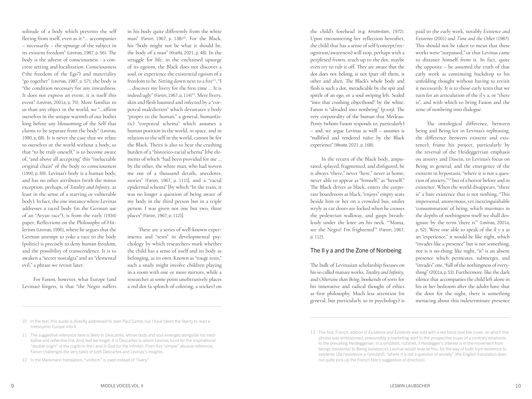solitude of a body which prevents the self fleeing from itself, even as it "… accompanies – necessarily – the upsurge of the subject in its existent freedom" (Levinas, 1987, p. 56). The body is the advent of consciousness - a concrete setting and localization. Consciousness ("the freedom of the Ego") and materiality "go together" (Levinas, 1987, p. 57); the body is "the condition necessary for any inwardness. It does not express an event; it is itself this event" (Levinas, 2001a, p. 70). More familiar to us than any object in the world, we "…affirm ourselves in the unique warmth of our bodies long before any blossoming of the Self that claims to be separate from the body" (Levinas, 1990, p. 68). It is never the case that we relate to ourselves or the world without a body, so that "to be truly oneself," is to become aware of, "and above all accepting" this "ineluctable original chain" of the body to consciousness (1990, p. 69). Levinas's body is a human body, and has no other attributes (with the minor exception, perhaps, of *Totality and Infinity,* at least in the sense of a starving or vulnerable body). In fact, the one instance where Levinas addresses a raced body (in the German use of an "Aryan race"), is from the early (1934) paper, Reflections on the Philosophy of Hitlerism (Levinas, 1990), where he argues that the German attempt to yoke a race to the body (politic) is precisely to deny human freedom, and the possibility of transcendence. It is to awaken a "secret nostalgia" and an "elemental evil," a phrase we revisit later.

For Fanon, however, what Europe (and Levinas) forgets, is that "the Negro suffers

in his body quite differently from the white man" (Fanon, 1967, p. 138)<sup>10</sup>. For the Black, his "body might not be what it should be, the body of a man" (Khalfa, 2021, p. 48). In the struggle for life, in the enchained upsurge of its egoism, the Black does not discover a soul, or experience the existential egoism of a freedom to be. Sitting down next to a fire<sup>11</sup>, "I … discover my livery for the first time … It is indeed ugly" (Fanon, 1967, p. 114)<sup>12</sup>. Mere livery, skin and flesh haunted and infected by a "corporeal malediction" which devastates a body "proper to the human," a general, human(istic) "corporeal schema" which assumes a human position in the world, in space, and in relation to the self in the world, cannot be for the Black. Theirs is also to bear the crushing burden of a "historico-racial schema" [the elements of which "had been provided for me … by the other, the white man, who had woven me out of a thousand details, anecdotes, stories" (Fanon, 1967, p. 111)], and a "racial epidermal schema" [by which "In the train, it was no longer a question of being aware of my body in the third person but in a triple person. I was given not one but two, three places" (Fanon, 1967, p. 112)].

There are a series of well-known experiments and "tests" in developmental psychology by which researchers mark whether the child has a sense of itself and its body as belonging, as its own. Known as "rouge tests," such a study might involve children playing in a room with one or more mirrors, while a researcher at some point unobtrusively places a red dot (a splotch of coloring, a sticker) on

the child's forehead (e.g. Amsterdam, 1972). Upon encountering her reflection hereafter, the child that has a sense of self (concept/recognition/awareness) will stop, perhaps with a perplexed frown, reach up to the dot, maybe even try to rub it off. They are aware that the dot does not belong, is not (part of) them, is other and alien. The Black's whole body and flesh is such a dot, ineradicable by the spit and spittle of an ego, or a soul swiping left. Sealed "into that crushing objecthood" by the white, Fanon is "abraded into nonbeing" (p.109). The very corporeality of the human that Merleau-Ponty (whom Fanon responds to, particularly) – and, we argue Levinas as well – assumes is "nullified and rendered naïve by the Black experience" (Weate, 2021, p. 168).

In the return of the Black body, amputated, splayed, fragmented, and disfigured, he is always "there," never "here," never at home, never able to appear as "himself," as "herself." The Black drives as black, enters the corporate boardroom as black, "enjoys" empty seats beside him or her on a crowded bus, smiles wryly as car doors are locked when he crosses the pedestrian walkway, and gasps breathlessly under the knee on his neck. "'Mama, see the Negro! I'm frightened'" (Fanon, 1967, p. 112).

#### The Il y a and the Zone of Nonbeing

The bulk of Levinasian scholarship focuses on his so called mature works, *Totality and Infinity,*  and *Otherwise than Being*, bookends of sorts for his innovative and radical thought of ethics as first philosophy. Much less attention (in general, but particularly so in psychology) is

paid to the early work, notably *Existence and Existents* (2001) and *Time and the Other* (1987). This should not be taken to mean that these works were "surpassed," or that Levinas came to distance himself from it. In fact, quite the opposite – he assumed the truth of that early work as continuing backdrop to his unfolding thought without having to revisit it necessarily. It is to those early texts that we turn for an articulation of the il y a, or "there is", and with which to bring Fanon and the zone of nonbeing into dialogue.

The ontological difference, between being and Being (or in Levinas's rephrasing, the difference between existent and existence), frame his project, particularly by the reversal of the Heideggerrian emphasis on anxiety and Dasein, to Levinas's focus on Being in general, and the emergence of the existent in hypostasis, "where it is not a question of anxiety,"13 but of a horror before and in existence. When the world disappears, "there is" a bare existence that is not nothing. "This impersonal, anonymous, yet inextinguishable 'consummation' of being, which murmurs in the depths of nothingness itself we shall designate by the term 'there is'" (Levinas, 2001a, p. 52). Were one able to speak of the il y a as an "experience," it would be like night, which "invades like a presence" but is not something, nor is it no-thing; like night, "it" is an absent presence which permeates, submerges, and "invades" one, "full of the nothingness of everything" (2001a, p. 53). Furthermore, like the dark silence that accompanies the child left alone in his or her bedroom after the adults have shut the door for the night, there is something menacing about this indeterminate presence

<sup>10</sup> In the text, this quote is directly addressed to Jean Paul Sartre, but I have taken the liberty to read a metonymic Europe into it.

<sup>11</sup> The suggestive reference here is likely to Descartes, whose body and soul emerges alongside his meditative and reflective fire. And, lest we forget, it is Descartes to whom Levinas turns for the inspirational "double origin" of the *cogito* in the I and in God (or the Infinite). From this "simple" allusive reference, Fanon challenges the very basis of both Descartes and Levinas's insights.

<sup>12</sup> In the Markmann translation, "uniform" is used instead of "livery".

<sup>13</sup> The first, French, edition of *Existence and Existents* was sold with a red band over the cover, on which this phrase was emblazoned, presumably a marketing alert to the prospective buyer of a contrary emphasis to the prevailing Heideggerian: in a simplistic nutshell, if Heidegger's interest is in the movement from beings (existents) to Being (existence), Levinas would reverse this, for the way of truth from existence to existents (*De l'existence a l'existant*), "where it is not a question of anxiety" (the English translation does not quite pick up the French title's suggestion of direction).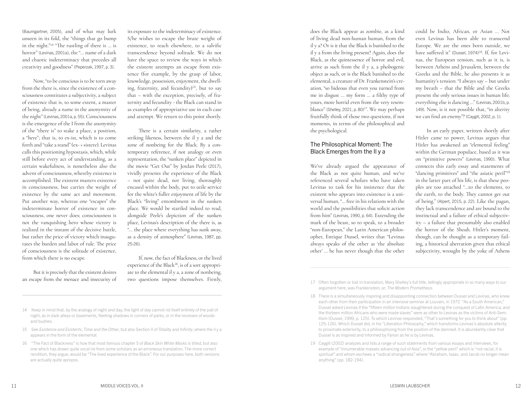(Baumgartner, 2005), and of what may lurk unseen in its fold, the "things that go bump in the night."14 "The rustling of there is … is horror" (Levinas, 2001a), the "… name of a dark and chaotic indeterminacy that precedes all creativity and goodness" (Peperzak, 1997, p. 3).

Now, "to be conscious is to be torn away from the there is, since the existence of a consciousness constitutes a subjectivity, a subject of existence that is, to some extent, a master of being, already a name in the anonymity of the night" (Levinas, 2001a, p. 55). Consciousness is the emergence of the I from the anonymity of the "there is" to stake a place, a position, a "here"; that is, to ex-ist, which is to come forth and "take a stand" (ex- + sistere). Levinas calls this positioning hypostasis, which, while still before every act of understanding, as a certain wakefulness, is nonetheless also the advent of consciousness, whereby existence is accomplished. The existent masters existence in consciousness, but carries the weight of existence by the same act and movement. Put another way, whereas one "escapes" the indeterminate horror of existence in consciousness, one never does; consciousness is not the vanquishing hero whose victory is realized in the instant of the decisive battle, but rather the price of victory which inaugurates the burden and labor of rule. The price of consciousness is the solitude of existence, from which there is no escape.

But it is precisely that the existent desires an escape from the menace and insecurity of its exposure to the indeterminacy of existence. S/he wishes to escape the brute weight of existence, to reach elsewhere, to a salvific transcendence beyond solitude. We do not have the space to review the ways in which the existent attempts an escape from existence (for example, by the grasp of labor, knowledge, possession, enjoyment, the dwelling, fraternity, and fecundity)15, but to say that – with the exception, precisely, of fraternity and fecundity - the Black can stand in as examples of appropriative use in each case and attempt. We return to this point shortly.

There is a certain similarity, a rather striking likeness, between the il y a and the zone of nonbeing for the Black. By a contemporary reference, if not analogy or even representation, the "sunken place" depicted in the movie "Get Out" by Jordan Peele (2017), vividly presents the experience of the Black – not quite dead, nor living, thoroughly encased within the body, put to utile service for the white's fuller enjoyment of life by the Black's "living" entombment in the sunken place. We would be startled indeed to read, alongside Peele's depiction of the sunken place, Levinas's description of the there is, as "… the place where everything has sunk away, as a density of atmosphere" (Levinas, 1987, pp. 25-26).

If, now, the fact of Blackness, or the lived experience of the Black<sup>16</sup>, is of a sort appropriate to the elemental il y a, a zone of nonbeing, two questions impose themselves. Firstly,

- 14 Keep in mind that, by the analogy of night and day, the light of day cannot rid itself entirely of the pall of night, as in dark alleys or basements, fleeting shadows in corners of parks, or in the recesses of woods and bushes.
- 15 See *Existence and Existents*, *Time and the Other*, but also Section II of *Totality and Infinity*, where the il y a appears in the form of the elemental.
- 16 "The Fact of Blackness" is how that most famous chapter 5 of *Black Skin White Masks* is titled, but also one which has drawn quite vocal ire from some scholars as an erroneous translation. The more correct rendition, they argue, would be "The lived experience of the Black". For our purposes here, both versions are actually quite apropos.

does the Black appear as zombie, as a kind of living dead non-human human, from the il y a? Or is it that the Black is banished to the il y a from the living present? Again, does the Black, as the quintessence of horror and evil, arrive as such from the il y a, a phobogenic object as such, or is the Black banished to the elemental, a creature of Dr. Frankenstein's creation, "so hideous that even you turned from me in disgust … my form … a filthy type of yours, more horrid even from the very resemblance" (Shelley, 2021, p. 80)<sup>17</sup>. We may perhaps fruitfully think of those two questions, if not moments, in terms of the philosophical and the psychological.

#### The Philosophical Moment: The Black Emerges from the Il y a

We've already argued the appearance of the Black as not quite human, and we've referenced several scholars who have taken Levinas to task for his insistence that the existent who appears into existence is a universal human, "… free in his relations with the world and the possibilities that solicit action from him" (Levinas, 1990, p. 64). Extending the mark of the beast, so to speak, to a broader "non-European," the Latin American philosopher, Enrique Dussel, writes that "Levinas always speaks of the other as 'the absolute other' … he has never though that the other

could be Indio, African, or Asian … Not even Levinas has been able to transcend Europe. We are the ones born outside, we have suffered it" (Dussel, 1974)<sup>18</sup>. If, for Levinas, the European tension, such as it is, is between Athens and Jerusalem, between the Greeks and the Bible, he also presents it as humanity's tension: "I always say – but under my breath – that the Bible and the Greeks present the only serious issues in human life; everything else is dancing …" (Levinas, 2001b, p. 149). Now, is it not possible that, "in alterity we can find an enemy"? (Caygill, 2002, p. 1).

In an early paper, written shortly after Hitler came to power, Levinas argues that Hitler has awakened an "elemental feeling" within the German populace, based as it was on "primitive powers" (Levinas, 1990). What connects this early essay and statements of "dancing primitives" and "the asiatic peril"<sup>19</sup> in the latter part of his life, is that these peoples are too attached "…to the elements, to the earth, to the body. They cannot get out of being." (Alpert, 2015, p. 22). Like the pagan, they lack transcendence and are bound to the instinctual and a failure of ethical subjectivity – a failure that presumably also enabled the horror of the Shoah. Hitler's moment, though, can be thought as a temporary failing, a historical aberration given that ethical subjectivity, wrought by the yoke of Athens

<sup>17</sup> Often forgotten or lost in translation, Mary Shelley's full title, tellingly appropriate in so many ways to our argument here, was *Frankenstein; or, The Modern Prometheus*.

<sup>18</sup> There is a simultaneously inspiring and disappointing connection between Dussel and Levinas, who knew each other from their participation in an intensive seminar at Louvain, in 1972. "As a South American," Dussel asked Levinas if the "fifteen million Indians slaughtered during the conquest of Latin America, and the thirteen million Africans who were made slaves" were as other to Levinas as the victims of Anti-Semitism (Dussel, 1999, p. 125). To which Levinas responded, "That's something for you to think about" (pp. 125-126). Which Dussel did, in his "Liberation Philosophy," which transforms Levinas's absolute alterity to proximate exteriority, to a philosophizing from the position of the damned. It is abundantly clear that Dussel is as inspired and informed by Fanon as he is by Levinas.

<sup>19</sup> Caygill (2002) analyzes and lists a range of such statements from various essays and interviews, for example of "innumerable masses advancing out of Asia", or the "yellow peril" which is "not racial, it is spiritual" and whom eschews a "radical strangeness" where "Abraham, Isaac, and Jacob no longer mean anything" (pp. 182-194).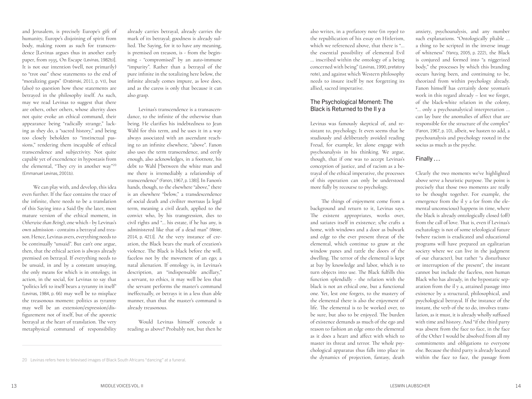and Jerusalem, is precisely Europe's gift of humanity, Europe's disjoining of spirit from body, making room as such for transcendence [Levinas argues thus in another early paper, from 1935, On Escape (Levinas, 1982b)]. It is not our intention (well, not primarily) to "trot out" these statements to the end of "moralizing gasps" (Drabinski, 2011, p. VI), but (also) to question how these statements are betrayed in the philosophy itself. As such, may we read Levinas to suggest that there are others, other others, whose alterity does not quite evoke an ethical command, their appearance being "radically strange," lacking as they do, a "sacred history," and being too closely beholden to "instinctual passions," rendering them incapable of ethical transcendence and subjectivity. Not quite capable yet of excendence in hypostasis from the elemental, "They cry in another way"<sup>20</sup> (Emmanuel Levinas, 2001b).

We can play with, and develop, this idea even further. If the face contains the trace of the infinite, there needs to be a translation of this Saying into a Said (by the later, most mature version of the ethical moment, in *Otherwise than Being*), one which - by Levinas's own admission - contains a betrayal and treason. Hence, Levinas avers, everything needs to be continually "unsaid". But can't one argue, then, that the ethical action is always already premised on betrayal. If everything needs to be unsaid, in and by a constant unsaying, the only means for which is in ontology, in action, in the social, for Levinas to say that "politics left to itself bears a tyranny in itself" (Levinas, 1984, p. 66) may well be to misplace the treasonous moment: politics as tyranny may well be an extension/expression/disfigurement not of itself, but of the aporetic betrayal at the heart of translation. The very metaphysical command of responsibility

already carries betrayal, already carries the mark of its betrayal; goodness is already sullied. The Saying, for it to have any meaning, is premised on treason, is - from the beginning - "compromised" by an auto-immune "impurity". Rather than a betrayal of the pure infinite in the totalizing here below, the infinite already comes impure, as love does, and as the caress is only that because it can also grasp.

Levinas's transcendence is a transascendance, to the infinite of the otherwise than being. He clarifies his indebtedness to Jean Wahl for this term, and he uses it in a way always associated with an ascendant reaching to an infinite elsewhere, "above". Fanon also uses the term transcendence, and eerily enough, also acknowledges, in a footnote, his debt to Wahl ["between the white man and me there is irremediably a relationship of transcendence" (Fanon, 1967, p. 138)]. In Fanon's hands, though, to the elsewhere "above," there is an elsewhere "below," a transdescendence of social death and civiliter mortuus [a legal term, meaning a civil death, applied to the convict who, by his transgression, dies to civil rights and "… his estate, if he has any, is administered like that of a dead man" (Weier, 2014, p. 421)]. At the very instance of creation, the Black bears the mark of creation's violence. The Black is black before the will, faceless not by the movement of an ego; a natal alienation. If ontology is, in Levinas's description, an "indispensable ancillary," a servant, to ethics, it may well be less that the servant performs the master's command ineffectually, or betrays it in a less than able manner, than that the master's command is already treasonous.

Would Levinas himself concede a reading as above? Probably not, but then he

also writes, in a prefatory note (in 1990) to the republication of his essay on Hitlerism, which we referenced above, that there is "… the essential possibility of elemental Evil … inscribed within the ontology of a being concerned with being" (Levinas, 1990, prefatory note), and against which Western philosophy needs to insure itself by not forgetting its allied, sacred imperative.

#### The Psychological Moment: The Black is Returned to the Il y a

Levinas was famously skeptical of, and resistant to, psychology. It even seems that he studiously and deliberately avoided reading Freud, for example, let alone engage with psychoanalysis in his thinking. We argue, though, that if one was to accept Levinas's conception of justice, and of racism as a betrayal of the ethical imperative, the processes of this operation can only be understood more fully by recourse to psychology.

The things of enjoyment come from a background and return to it, Levinas says. The existent appropriates, works over, and satiates itself in existence; s/he crafts a home, with windows and a door as bulwark and edge to the ever present threat of the elemental, which continue to gnaw at the window panes and rattle the doors of the dwelling. The terror of the elemental is kept at bay by knowledge and labor, which is to turn objects into use. The Black fulfills this function splendidly - the relation with the black is not an ethical one, but a functional one. Yet, lest one forgets, to the mastery of the elemental there is also the enjoyment of life. The elemental is to be worked over, to be sure, but also to be enjoyed. The burden of existence demands as much of the ego and reason to fashion an edge onto the elemental as it does a heart and affect with which to master its threat and terror. The whole psychological apparatus thus falls into place in the dynamics of projection, fantasy, death

anxiety, psychoanalysis, and any number such explanations. "Ontologically pliable … a thing to be scripted in the inverse image of whiteness" (Yancy, 2005, p. 222), the Black is conjured and formed into "a niggerized body," the processes by which this branding occurs having been, and continuing to be, theorized from within psychology already. Fanon himself has certainly done yeoman's work in this regard already – lest we forget, of the black-white relation in the colony, "… only a psychoanalytical interpretation … can lay bare the anomalies of affect that are responsible for the structure of the complex" (Fanon, 1967, p. 10), albeit, we hasten to add, a psychoanalysis and psychology rooted in the socius as much as the psyche.

#### Finally …

Clearly the two moments we've highlighted above serve a heuristic purpose. The point is precisely that those two moments are really to be thought together. For example, the emergence from the il y a (or from the elemental unconscious) happens in time, where the black is already ontologically closed (off) from the call of love. That is, even if Levinas's eschatology is not of some teleological future (where racism is eradicated and educational programs will have prepared an egalitarian society where we can live in the judgment of our character), but rather "a disturbance or interruption of the present", the instant cannot but include the faceless, non human Black who has already, in the hypostatic separation from the il y a, attained passage into existence by a structural, philosophical, and psychological betrayal. If the instance of the instant, the verb of the to do, involves translation, as it must, it is already wholly suffused with time and history. And "if the third party was absent from the face to face, in the face of the Other I would be absolved from all my commitments and obligations to everyone else. Because the third party is already located within the face to face, the passage from

<sup>20</sup> Levinas refers here to televised images of Black South Africans "dancing" at a funeral.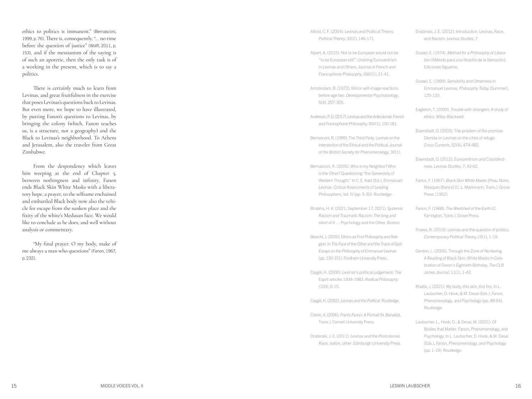ethics to politics is immanent." (Bernasconi, 1999, p. 76). There is, consequently, "… no time before the question of justice" (Wolff, 2011, p. 153), and if the messianism of the saying is of such an aporetic, then the only task is of a working in the present, which is to say a politics.

There is certainly much to learn from Levinas, and great fruitfulness in the exercise that poses Levinas's questions back to Levinas. But even more, we hope to have illustrated, by putting Fanon's questions to Levinas, by bringing the colony (which, Fanon teaches us, is a structure, not a geography) and the Black to Levinas's neighborhood. To Athens and Jerusalem, also the traveler from Great Zimbabwe.

From the despondency which leaves him weeping at the end of Chapter 5, between nothingness and infinity, Fanon ends Black Skin White Masks with a libera tory hope, a prayer, to the selfsame enchained and embattled Black body now also the vehi cle for escape from the sunken place and the fixity of the white's Medusan face. We would like to conclude as he does, and well without analysis or commentary.

"My final prayer: O my body, make of me always a man who questions" (Fanon, 1967, p. 232) .

Alford, C. F. (2004). Levinas and Political Theory. *Political Theory*, 32(2), 146-171.

Alpert, A. (2015). Not to be European would not be "to be European still": Undoing Eurocentrism in Levinas and Others. *Journal of French and Francophone Philosophy*, XXIII(1), 21-41.

Amsterdam, B. (1972). Mirror self-image reactions before age two. *Developmental Psychobiology*, 5(4), 297-305.

Anderson, P. D. (2017). Levinas and the Anticolonial. *French and Francophone Philosophy*, XXV(1), 150-181.

Bernasconi, R. (1999). The Third Party: Levinas on the Intersection of the Ethical and the Political. *Journal of the British Society for Phenomenology*, 30(1).

Bernasconi, R. (2005). Who is my Neighbor? Who is the Other? Questioning "the Generosity of Western Thought." In C. E. Katz (Ed.), *Emmanuel Levinas: Critical Assessments of Leading Philosophers*, Vol. IV (pp. 5-30). Routledge.

Bhabha, H. K. (2021, September 17, 2021). *Systemic Racism and Traumatic Racism: The long and short of it* … Psychology and the Other, Boston.

Bloechl, J. (2000). Ethics as First Philosophy and Reli gion. In *The Face of the Other and the Trace of God: Essays on the Philosophy of Emmanuel Levinas* (pp. 130-151). Fordham University Press.

Caygill, H. (2000). Levinas's political judgement: The Esprit articles 1934-1983. *Radical Philosophy* (104), 6-15.

Caygill, H. (2002). *Levinas and the Political*. Routledge.

Cherki, A. (2006). *Frantz Fanon: A Portrait* (N. Benabid, Trans.). Cornell University Press.

Drabinski, J. E. (2011). *Levinas and the Postcolonial: Race, nation, other*. Edinburgh University Press. Drabinski, J. E. (2012). Introduction: Levinas, Race, and Racism. *Levinas Studies*, 7.

Dussel, E. (1974). *Method for a Philosophy of Libera tion* [Método para una filosofía de la liberación]. Ediciones Sigueme.

Dussel, E. (1999). Sensibility and Otherness in Emmanuel Levinas. *Philosophy Today* (Summer), 125-133.

Eagleton, T. (2009). *Trouble with strangers: A study of ethics*. Wiley-Blackwell.

Eisenstadt, O. (2003). The problem of the promise: Derrida on Levinas on the cities of refuge. *Cross Currents*, 52(4), 474-482.

Eisenstadt, O. (2012). Eurocentrism and Colorblind ness. *Levinas Studies*, 7, 43-62.

Fanon, F. (1967). *Black Skin White Masks* [Peau Noire, Masques Blancs] (C. L. Markmann, Trans.). Grove Press. (1952)

Fanon, F. (1968). *The Wretched of the Earth* (C. Farrington, Trans.). Grove Press.

Froese, R. (2019). Levinas and the question of politics. *Contemporary Political Theory*,19(1), 1-19.

Gordon, L. (2005). Through the Zone of Nonbeing: A Reading of Black Skin, White Masks in Cele bration of Fanon's Eightieth Birthday. *The CLR James Journal*, 11(1), 1-43.

Khalfa, J. (2021). My body, this skin, this fire. In L. Laubscher, D. Hook, & M. Desai (Eds.), *Fanon, Phenomenology, and Psychology* (pp. 48-64). Routledge.

Laubscher, L., Hook, D., & Desai, M. (2021). Of Bodies that Matter: Fanon, Phenomenology, and Psychology. In L. Laubscher, D. Hook, & M. Desai (Eds.), *Fanon, Phenomenology, and Psychology*  (pp. 1-19). Routledge.